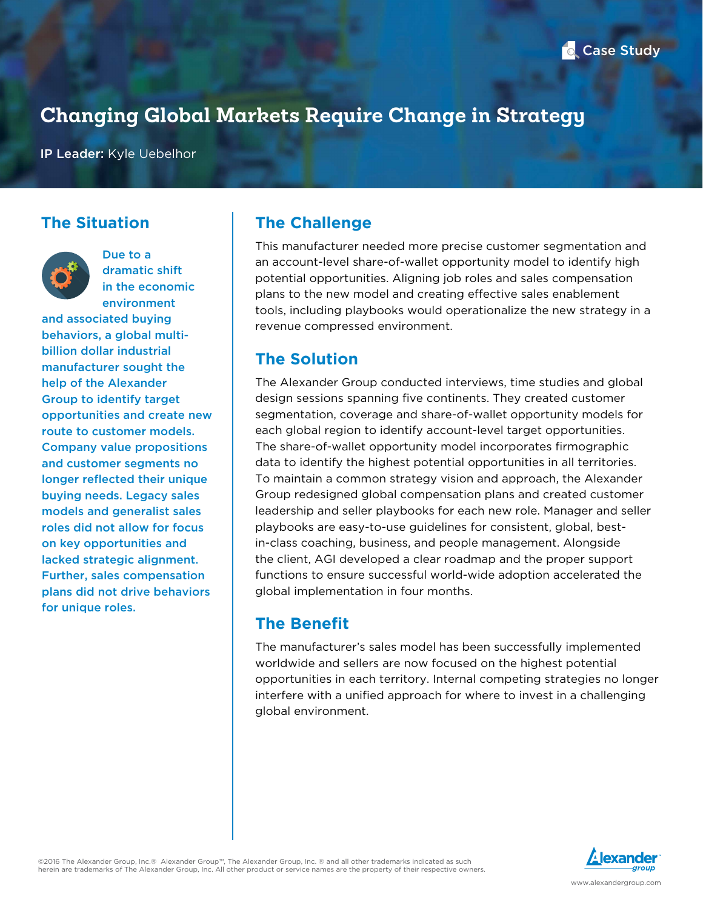# **Changing Global Markets Require Change in Strategy**

IP Leader: Kyle Uebelhor

### **The Situation**



Due to a dramatic shift in the economic environment

and associated buying behaviors, a global multibillion dollar industrial manufacturer sought the help of the Alexander Group to identify target opportunities and create new route to customer models. Company value propositions and customer segments no longer reflected their unique buying needs. Legacy sales models and generalist sales roles did not allow for focus on key opportunities and lacked strategic alignment. Further, sales compensation plans did not drive behaviors for unique roles.

## **The Challenge**

This manufacturer needed more precise customer segmentation and an account-level share-of-wallet opportunity model to identify high potential opportunities. Aligning job roles and sales compensation plans to the new model and creating effective sales enablement tools, including playbooks would operationalize the new strategy in a revenue compressed environment.

### **The Solution**

The Alexander Group conducted interviews, time studies and global design sessions spanning five continents. They created customer segmentation, coverage and share-of-wallet opportunity models for each global region to identify account-level target opportunities. The share-of-wallet opportunity model incorporates firmographic data to identify the highest potential opportunities in all territories. To maintain a common strategy vision and approach, the Alexander Group redesigned global compensation plans and created customer leadership and seller playbooks for each new role. Manager and seller playbooks are easy-to-use guidelines for consistent, global, bestin-class coaching, business, and people management. Alongside the client, AGI developed a clear roadmap and the proper support functions to ensure successful world-wide adoption accelerated the global implementation in four months.

# **The Benefit**

The manufacturer's sales model has been successfully implemented worldwide and sellers are now focused on the highest potential opportunities in each territory. Internal competing strategies no longer interfere with a unified approach for where to invest in a challenging global environment.